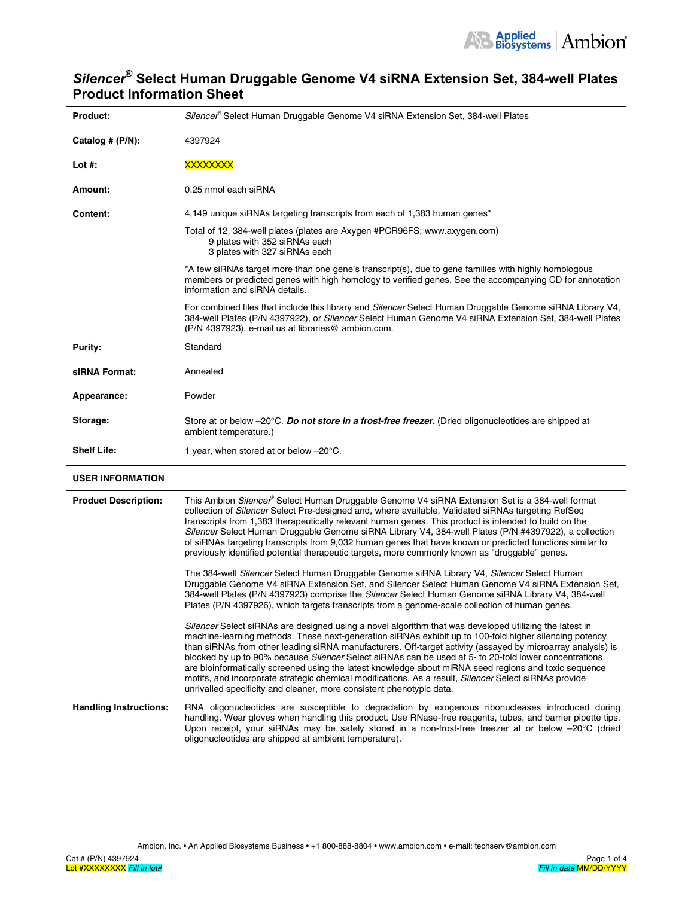# *Silencer***® Select Human Druggable Genome V4 siRNA Extension Set, 384-well Plates Product Information Sheet**

| Product:                    | Silencer <sup>®</sup> Select Human Druggable Genome V4 siRNA Extension Set, 384-well Plates                                                                                                                                                                                                                                                                                                                                                                                                                                                                                                                                                                                                                                                                                                                                   |  |  |  |
|-----------------------------|-------------------------------------------------------------------------------------------------------------------------------------------------------------------------------------------------------------------------------------------------------------------------------------------------------------------------------------------------------------------------------------------------------------------------------------------------------------------------------------------------------------------------------------------------------------------------------------------------------------------------------------------------------------------------------------------------------------------------------------------------------------------------------------------------------------------------------|--|--|--|
| Catalog # (P/N):            | 4397924                                                                                                                                                                                                                                                                                                                                                                                                                                                                                                                                                                                                                                                                                                                                                                                                                       |  |  |  |
| Lot $#$ :                   | <b>XXXXXXXX</b>                                                                                                                                                                                                                                                                                                                                                                                                                                                                                                                                                                                                                                                                                                                                                                                                               |  |  |  |
| Amount:                     | 0.25 nmol each siRNA                                                                                                                                                                                                                                                                                                                                                                                                                                                                                                                                                                                                                                                                                                                                                                                                          |  |  |  |
| <b>Content:</b>             | 4,149 unique siRNAs targeting transcripts from each of 1,383 human genes*                                                                                                                                                                                                                                                                                                                                                                                                                                                                                                                                                                                                                                                                                                                                                     |  |  |  |
|                             | Total of 12, 384-well plates (plates are Axygen #PCR96FS; www.axygen.com)<br>9 plates with 352 siRNAs each<br>3 plates with 327 siRNAs each                                                                                                                                                                                                                                                                                                                                                                                                                                                                                                                                                                                                                                                                                   |  |  |  |
|                             | *A few siRNAs target more than one gene's transcript(s), due to gene families with highly homologous<br>members or predicted genes with high homology to verified genes. See the accompanying CD for annotation<br>information and siRNA details.                                                                                                                                                                                                                                                                                                                                                                                                                                                                                                                                                                             |  |  |  |
|                             | For combined files that include this library and Silencer Select Human Druggable Genome siRNA Library V4,<br>384-well Plates (P/N 4397922), or Silencer Select Human Genome V4 siRNA Extension Set, 384-well Plates<br>(P/N 4397923), e-mail us at libraries@ ambion.com.                                                                                                                                                                                                                                                                                                                                                                                                                                                                                                                                                     |  |  |  |
| Purity:                     | Standard                                                                                                                                                                                                                                                                                                                                                                                                                                                                                                                                                                                                                                                                                                                                                                                                                      |  |  |  |
| siRNA Format:               | Annealed                                                                                                                                                                                                                                                                                                                                                                                                                                                                                                                                                                                                                                                                                                                                                                                                                      |  |  |  |
| Appearance:                 | Powder                                                                                                                                                                                                                                                                                                                                                                                                                                                                                                                                                                                                                                                                                                                                                                                                                        |  |  |  |
| Storage:                    | Store at or below -20°C. Do not store in a frost-free freezer. (Dried oligonucleotides are shipped at<br>ambient temperature.)                                                                                                                                                                                                                                                                                                                                                                                                                                                                                                                                                                                                                                                                                                |  |  |  |
| <b>Shelf Life:</b>          | 1 year, when stored at or below -20°C.                                                                                                                                                                                                                                                                                                                                                                                                                                                                                                                                                                                                                                                                                                                                                                                        |  |  |  |
| <b>USER INFORMATION</b>     |                                                                                                                                                                                                                                                                                                                                                                                                                                                                                                                                                                                                                                                                                                                                                                                                                               |  |  |  |
| <b>Product Description:</b> | This Ambion Silencer® Select Human Druggable Genome V4 siRNA Extension Set is a 384-well format<br>collection of Silencer Select Pre-designed and, where available, Validated siRNAs targeting RefSeq<br>transcripts from 1,383 therapeutically relevant human genes. This product is intended to build on the<br>Silencer Select Human Druggable Genome siRNA Library V4, 384-well Plates (P/N #4397922), a collection<br>of siRNAs targeting transcripts from 9,032 human genes that have known or predicted functions similar to<br>previously identified potential therapeutic targets, more commonly known as "druggable" genes.<br>The 384-well Silencer Select Human Druggable Genome siRNA Library V4, Silencer Select Human<br>inghla Osmania VI a DNA Futenzian Ost, and Ollanger Oslast Human Osmania VI a DNA Fut |  |  |  |

Druggable Genome V4 siRNA Extension Set, and Silencer Select Human Genome V4 siRNA Extension Set, 384-well Plates (P/N 4397923) comprise the *Silencer* Select Human Genome siRNA Library V4, 384-well Plates (P/N 4397926), which targets transcripts from a genome-scale collection of human genes.

*Silencer* Select siRNAs are designed using a novel algorithm that was developed utilizing the latest in machine-learning methods. These next-generation siRNAs exhibit up to 100-fold higher silencing potency than siRNAs from other leading siRNA manufacturers. Off-target activity (assayed by microarray analysis) is blocked by up to 90% because *Silencer* Select siRNAs can be used at 5- to 20-fold lower concentrations, are bioinformatically screened using the latest knowledge about miRNA seed regions and toxic sequence motifs, and incorporate strategic chemical modifications. As a result, *Silencer* Select siRNAs provide unrivalled specificity and cleaner, more consistent phenotypic data.

### **Handling Instructions:** RNA oligonucleotides are susceptible to degradation by exogenous ribonucleases introduced during handling. Wear gloves when handling this product. Use RNase-free reagents, tubes, and barrier pipette tips. Upon receipt, your siRNAs may be safely stored in a non-frost-free freezer at or below -20°C (dried oligonucleotides are shipped at ambient temperature).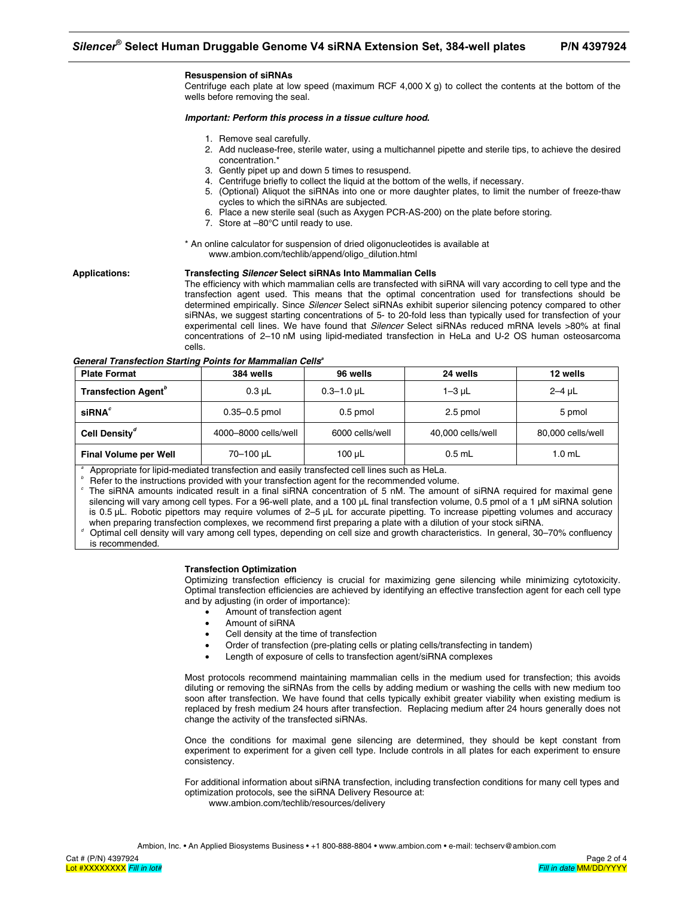Centrifuge each plate at low speed (maximum RCF 4,000  $X$  g) to collect the contents at the bottom of the wells before removing the seal.

#### *Important: Perform this process in a tissue culture hood.*

- 1. Remove seal carefully.
- 2. Add nuclease-free, sterile water, using a multichannel pipette and sterile tips, to achieve the desired concentration.\*
- 3. Gently pipet up and down 5 times to resuspend.
- 4. Centrifuge briefly to collect the liquid at the bottom of the wells, if necessary.
- 5. (Optional) Aliquot the siRNAs into one or more daughter plates, to limit the number of freeze-thaw cycles to which the siRNAs are subjected.
- 6. Place a new sterile seal (such as Axygen PCR-AS-200) on the plate before storing.
- 7. Store at –80°C until ready to use.
- \* An online calculator for suspension of dried oligonucleotides is available at www.ambion.com/techlib/append/oligo\_dilution.html

**Applications: Transfecting** *Silencer* **Select siRNAs Into Mammalian Cells** 

The efficiency with which mammalian cells are transfected with siRNA will vary according to cell type and the transfection agent used. This means that the optimal concentration used for transfections should be determined empirically. Since *Silencer* Select siRNAs exhibit superior silencing potency compared to other siRNAs, we suggest starting concentrations of 5- to 20-fold less than typically used for transfection of your experimental cell lines. We have found that *Silencer* Select siRNAs reduced mRNA levels >80% at final concentrations of 2–10 nM using lipid-mediated transfection in HeLa and U-2 OS human osteosarcoma cells.

**General Transfection Starting Points for Mammalian Cells<sup>a</sup>** 

| <b>Plate Format</b>                    | 384 wells            | 96 wells        | 24 wells          | 12 wells          |
|----------------------------------------|----------------------|-----------------|-------------------|-------------------|
| <b>Transfection Agent</b> <sup>o</sup> | $0.3 \mu L$          | $0.3 - 1.0$ µL  | 1–3 µL            | $2-4$ uL          |
| siRNA <sup>c</sup>                     | $0.35 - 0.5$ pmol    | $0.5$ pmol      | 2.5 pmol          | 5 pmol            |
| Cell Density <sup>"</sup>              | 4000-8000 cells/well | 6000 cells/well | 40,000 cells/well | 80,000 cells/well |
| <b>Final Volume per Well</b>           | 70-100 µL            | 100 µL          | $0.5$ mL          | $1.0 \text{ mL}$  |

*a* Appropriate for lipid-mediated transfection and easily transfected cell lines such as HeLa.

*b* Refer to the instructions provided with your transfection agent for the recommended volume.

*c* The siRNA amounts indicated result in a final siRNA concentration of 5 nM. The amount of siRNA required for maximal gene silencing will vary among cell types. For a 96-well plate, and a 100 µL final transfection volume, 0.5 pmol of a 1 µM siRNA solution is 0.5 µL. Robotic pipettors may require volumes of 2–5 µL for accurate pipetting. To increase pipetting volumes and accuracy when preparing transfection complexes, we recommend first preparing a plate with a dilution of your stock siRNA.

*d* Optimal cell density will vary among cell types, depending on cell size and growth characteristics. In general, 30–70% confluency

is recommended.

#### **Transfection Optimization**

Optimizing transfection efficiency is crucial for maximizing gene silencing while minimizing cytotoxicity. Optimal transfection efficiencies are achieved by identifying an effective transfection agent for each cell type and by adjusting (in order of importance):

- Amount of transfection agent
- Amount of siRNA
- Cell density at the time of transfection
- Order of transfection (pre-plating cells or plating cells/transfecting in tandem)
- Length of exposure of cells to transfection agent/siRNA complexes

Most protocols recommend maintaining mammalian cells in the medium used for transfection; this avoids diluting or removing the siRNAs from the cells by adding medium or washing the cells with new medium too soon after transfection. We have found that cells typically exhibit greater viability when existing medium is replaced by fresh medium 24 hours after transfection. Replacing medium after 24 hours generally does not change the activity of the transfected siRNAs.

Once the conditions for maximal gene silencing are determined, they should be kept constant from experiment to experiment for a given cell type. Include controls in all plates for each experiment to ensure consistency.

For additional information about siRNA transfection, including transfection conditions for many cell types and optimization protocols, see the siRNA Delivery Resource at: www.ambion.com/techlib/resources/delivery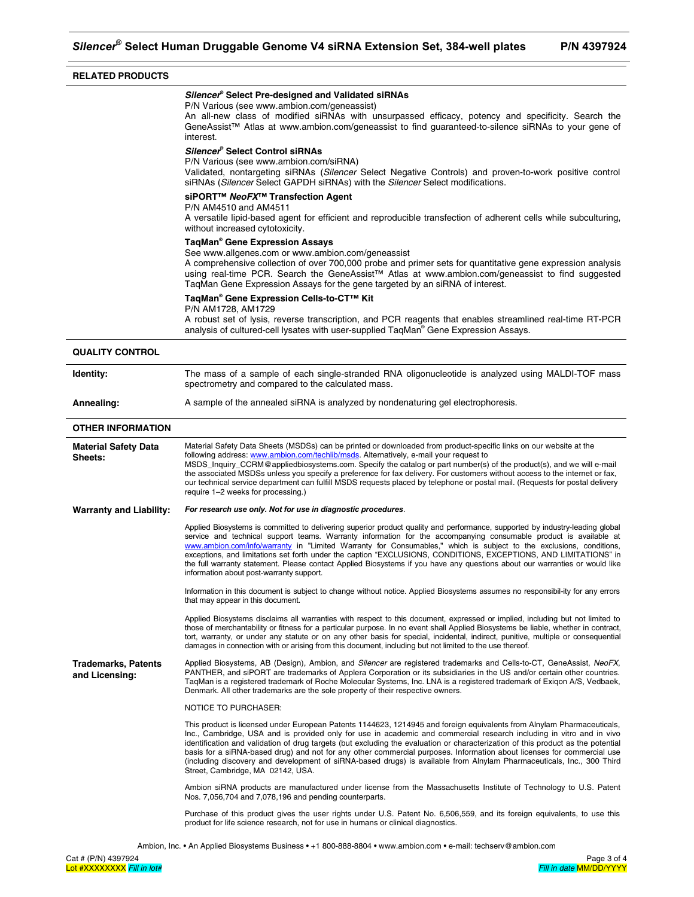# **RELATED PRODUCTS**

#### *Silencer***® Select Pre-designed and Validated siRNAs**

P/N Various (see www.ambion.com/geneassist)

An all-new class of modified siRNAs with unsurpassed efficacy, potency and specificity. Search the GeneAssist™ Atlas at www.ambion.com/geneassist to find guaranteed-to-silence siRNAs to your gene of interest.

#### *Silencer***® Select Control siRNAs**

P/N Various (see www.ambion.com/siRNA)

Validated, nontargeting siRNAs (*Silencer* Select Negative Controls) and proven-to-work positive control siRNAs (*Silencer* Select GAPDH siRNAs) with the *Silencer* Select modifications.

# **siPORT™** *NeoFX***™ Transfection Agent**

P/N AM4510 and AM4511

A versatile lipid-based agent for efficient and reproducible transfection of adherent cells while subculturing, without increased cytotoxicity.

#### **TaqMan® Gene Expression Assays**

See www.allgenes.com or www.ambion.com/geneassist

A comprehensive collection of over 700,000 probe and primer sets for quantitative gene expression analysis using real-time PCR. Search the GeneAssist™ Atlas at www.ambion.com/geneassist to find suggested TaqMan Gene Expression Assays for the gene targeted by an siRNA of interest.

# **TaqMan® Gene Expression Cells-to-CT™ Kit**

P/N AM1728, AM1729

A robust set of lysis, reverse transcription, and PCR reagents that enables streamlined real-time RT-PCR analysis of cultured-cell lysates with user-supplied TaqMan® Gene Expression Assays.

# **QUALITY CONTROL Identity:** The mass of a sample of each single-stranded RNA oligonucleotide is analyzed using MALDI-TOF mass spectrometry and compared to the calculated mass. **Annealing:** A sample of the annealed siRNA is analyzed by nondenaturing gel electrophoresis. **OTHER INFORMATION Material Safety Data Sheets:**  Material Safety Data Sheets (MSDSs) can be printed or downloaded from product-specific links on our website at the following address: www.ambion.com/techlib/msds. Alternatively, e-mail your request to MSDS\_Inquiry\_CCRM@appliedbiosystems.com. Specify the catalog or part number(s) of the product(s), and we will e-mail the associated MSDSs unless you specify a preference for fax delivery. For customers without access to the internet or fax, our technical service department can fulfill MSDS requests placed by telephone or postal mail. (Requests for postal delivery require 1–2 weeks for processing.) **Warranty and Liability:** *For research use only. Not for use in diagnostic procedures*. Applied Biosystems is committed to delivering superior product quality and performance, supported by industry-leading global service and technical support teams. Warranty information for the accompanying consumable product is available at www.ambion.com/info/warranty in "Limited Warranty for Consumables," which is subject to the exclusions, conditions, exceptions, and limitations set forth under the caption "EXCLUSIONS, CONDITIONS, EXCEPTIONS, AND LIMITATIONS" in the full warranty statement. Please contact Applied Biosystems if you have any questions about our warranties or would like information about post-warranty support. Information in this document is subject to change without notice. Applied Biosystems assumes no responsibil-ity for any errors that may appear in this document. Applied Biosystems disclaims all warranties with respect to this document, expressed or implied, including but not limited to those of merchantability or fitness for a particular purpose. In no event shall Applied Biosystems be liable, whether in contract, tort, warranty, or under any statute or on any other basis for special, incidental, indirect, punitive, multiple or consequential damages in connection with or arising from this document, including but not limited to the use thereof. **Trademarks, Patents and Licensing:**  Applied Biosystems, AB (Design), Ambion, and *Silencer* are registered trademarks and Cells-to-CT, GeneAssist, *NeoFX*, PANTHER, and siPORT are trademarks of Applera Corporation or its subsidiaries in the US and/or certain other countries. TaqMan is a registered trademark of Roche Molecular Systems, Inc. LNA is a registered trademark of Exiqon A/S, Vedbaek, Denmark. All other trademarks are the sole property of their respective owners. NOTICE TO PURCHASER: This product is licensed under European Patents 1144623, 1214945 and foreign equivalents from Alnylam Pharmaceuticals, Inc., Cambridge, USA and is provided only for use in academic and commercial research including in vitro and in vivo identification and validation of drug targets (but excluding the evaluation or characterization of this product as the potential basis for a siRNA-based drug) and not for any other commercial purposes. Information about licenses for commercial use (including discovery and development of siRNA-based drugs) is available from Alnylam Pharmaceuticals, Inc., 300 Third Street, Cambridge, MA 02142, USA. Ambion siRNA products are manufactured under license from the Massachusetts Institute of Technology to U.S. Patent Nos. 7,056,704 and 7,078,196 and pending counterparts.

Purchase of this product gives the user rights under U.S. Patent No. 6,506,559, and its foreign equivalents, to use this product for life science research, not for use in humans or clinical diagnostics.

Ambion, Inc. • An Applied Biosystems Business • +1 800-888-8804 • www.ambion.com • e-mail: techserv@ambion.com